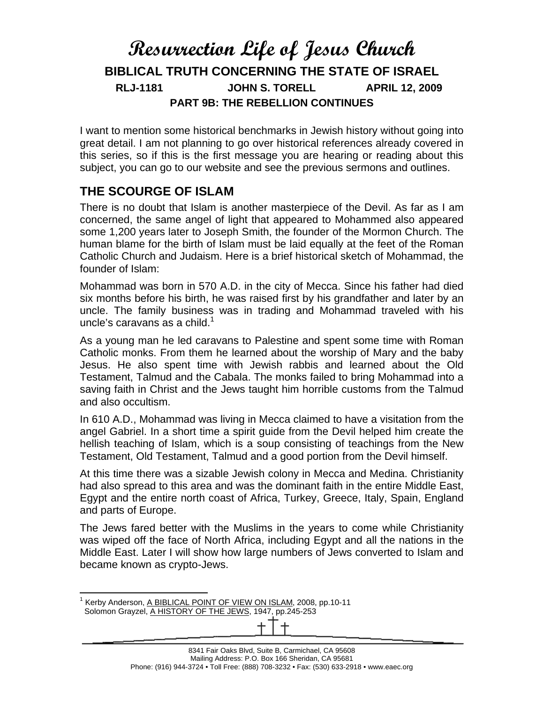# **Resurrection Life of Jesus Church BIBLICAL TRUTH CONCERNING THE STATE OF ISRAEL RLJ-1181 JOHN S. TORELL APRIL 12, 2009 PART 9B: THE REBELLION CONTINUES**

I want to mention some historical benchmarks in Jewish history without going into great detail. I am not planning to go over historical references already covered in this series, so if this is the first message you are hearing or reading about this subject, you can go to our website and see the previous sermons and outlines.

#### **THE SCOURGE OF ISLAM**

There is no doubt that Islam is another masterpiece of the Devil. As far as I am concerned, the same angel of light that appeared to Mohammed also appeared some 1,200 years later to Joseph Smith, the founder of the Mormon Church. The human blame for the birth of Islam must be laid equally at the feet of the Roman Catholic Church and Judaism. Here is a brief historical sketch of Mohammad, the founder of Islam:

Mohammad was born in 570 A.D. in the city of Mecca. Since his father had died six months before his birth, he was raised first by his grandfather and later by an uncle. The family business was in trading and Mohammad traveled with his uncle's caravans as a child. $1$ 

As a young man he led caravans to Palestine and spent some time with Roman Catholic monks. From them he learned about the worship of Mary and the baby Jesus. He also spent time with Jewish rabbis and learned about the Old Testament, Talmud and the Cabala. The monks failed to bring Mohammad into a saving faith in Christ and the Jews taught him horrible customs from the Talmud and also occultism.

In 610 A.D., Mohammad was living in Mecca claimed to have a visitation from the angel Gabriel. In a short time a spirit guide from the Devil helped him create the hellish teaching of Islam, which is a soup consisting of teachings from the New Testament, Old Testament, Talmud and a good portion from the Devil himself.

At this time there was a sizable Jewish colony in Mecca and Medina. Christianity had also spread to this area and was the dominant faith in the entire Middle East, Egypt and the entire north coast of Africa, Turkey, Greece, Italy, Spain, England and parts of Europe.

The Jews fared better with the Muslims in the years to come while Christianity was wiped off the face of North Africa, including Egypt and all the nations in the Middle East. Later I will show how large numbers of Jews converted to Islam and became known as crypto-Jews.

 $\overline{a}$ <sup>1</sup> Kerby Anderson, A BIBLICAL POINT OF VIEW ON ISLAM, 2008, pp.10-11

Solomon Grayzel, A HISTORY OF THE JEWS, 1947, pp.245-253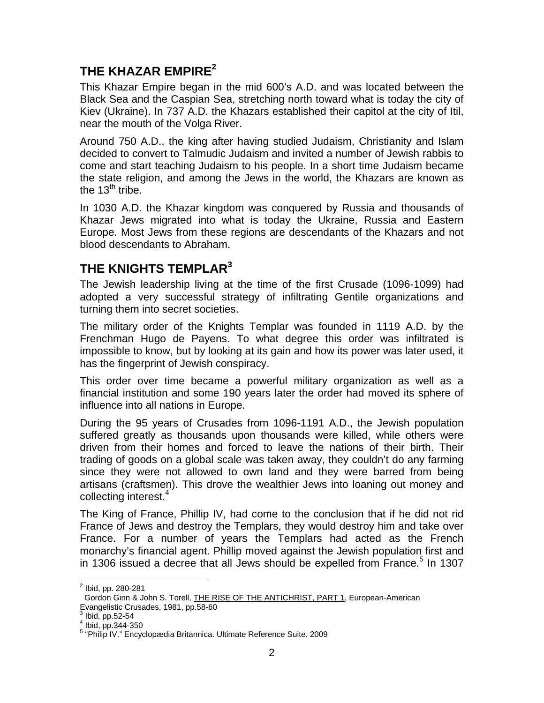# **THE KHAZAR EMPIRE<sup>2</sup>**

This Khazar Empire began in the mid 600's A.D. and was located between the Black Sea and the Caspian Sea, stretching north toward what is today the city of Kiev (Ukraine). In 737 A.D. the Khazars established their capitol at the city of Itil, near the mouth of the Volga River.

Around 750 A.D., the king after having studied Judaism, Christianity and Islam decided to convert to Talmudic Judaism and invited a number of Jewish rabbis to come and start teaching Judaism to his people. In a short time Judaism became the state religion, and among the Jews in the world, the Khazars are known as the  $13^{\text{th}}$  tribe.

In 1030 A.D. the Khazar kingdom was conquered by Russia and thousands of Khazar Jews migrated into what is today the Ukraine, Russia and Eastern Europe. Most Jews from these regions are descendants of the Khazars and not blood descendants to Abraham.

## **THE KNIGHTS TEMPLAR<sup>3</sup>**

The Jewish leadership living at the time of the first Crusade (1096-1099) had adopted a very successful strategy of infiltrating Gentile organizations and turning them into secret societies.

The military order of the Knights Templar was founded in 1119 A.D. by the Frenchman Hugo de Payens. To what degree this order was infiltrated is impossible to know, but by looking at its gain and how its power was later used, it has the fingerprint of Jewish conspiracy.

This order over time became a powerful military organization as well as a financial institution and some 190 years later the order had moved its sphere of influence into all nations in Europe.

During the 95 years of Crusades from 1096-1191 A.D., the Jewish population suffered greatly as thousands upon thousands were killed, while others were driven from their homes and forced to leave the nations of their birth. Their trading of goods on a global scale was taken away, they couldn't do any farming since they were not allowed to own land and they were barred from being artisans (craftsmen). This drove the wealthier Jews into loaning out money and collecting interest.<sup>4</sup>

The King of France, Phillip IV, had come to the conclusion that if he did not rid France of Jews and destroy the Templars, they would destroy him and take over France. For a number of years the Templars had acted as the French monarchy's financial agent. Phillip moved against the Jewish population first and in 1306 issued a decree that all Jews should be expelled from France.<sup>5</sup> In 1307

 2 Ibid, pp. 280-281

Gordon Ginn & John S. Torell, THE RISE OF THE ANTICHRIST, PART 1, European-American Evangelistic Crusades, 1981, pp.58-60

 $3$  Ibid, pp.52-54

<sup>4</sup> Ibid, pp.344-350

<sup>&</sup>lt;sup>5</sup> "Philip IV." Encyclopædia Britannica. Ultimate Reference Suite. 2009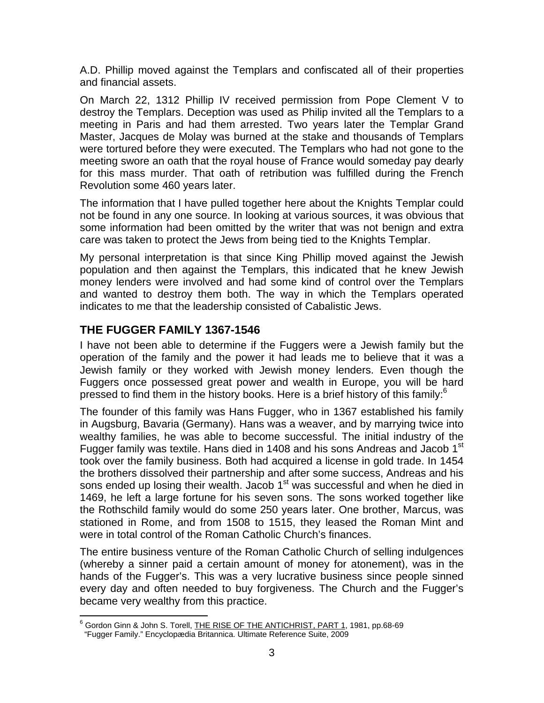A.D. Phillip moved against the Templars and confiscated all of their properties and financial assets.

On March 22, 1312 Phillip IV received permission from Pope Clement V to destroy the Templars. Deception was used as Philip invited all the Templars to a meeting in Paris and had them arrested. Two years later the Templar Grand Master, Jacques de Molay was burned at the stake and thousands of Templars were tortured before they were executed. The Templars who had not gone to the meeting swore an oath that the royal house of France would someday pay dearly for this mass murder. That oath of retribution was fulfilled during the French Revolution some 460 years later.

The information that I have pulled together here about the Knights Templar could not be found in any one source. In looking at various sources, it was obvious that some information had been omitted by the writer that was not benign and extra care was taken to protect the Jews from being tied to the Knights Templar.

My personal interpretation is that since King Phillip moved against the Jewish population and then against the Templars, this indicated that he knew Jewish money lenders were involved and had some kind of control over the Templars and wanted to destroy them both. The way in which the Templars operated indicates to me that the leadership consisted of Cabalistic Jews.

#### **THE FUGGER FAMILY 1367-1546**

I have not been able to determine if the Fuggers were a Jewish family but the operation of the family and the power it had leads me to believe that it was a Jewish family or they worked with Jewish money lenders. Even though the Fuggers once possessed great power and wealth in Europe, you will be hard pressed to find them in the history books. Here is a brief history of this family: $^{\circ}$ 

The founder of this family was Hans Fugger, who in 1367 established his family in Augsburg, Bavaria (Germany). Hans was a weaver, and by marrying twice into wealthy families, he was able to become successful. The initial industry of the Fugger family was textile. Hans died in 1408 and his sons Andreas and Jacob 1<sup>st</sup> took over the family business. Both had acquired a license in gold trade. In 1454 the brothers dissolved their partnership and after some success, Andreas and his sons ended up losing their wealth. Jacob  $1<sup>st</sup>$  was successful and when he died in 1469, he left a large fortune for his seven sons. The sons worked together like the Rothschild family would do some 250 years later. One brother, Marcus, was stationed in Rome, and from 1508 to 1515, they leased the Roman Mint and were in total control of the Roman Catholic Church's finances.

The entire business venture of the Roman Catholic Church of selling indulgences (whereby a sinner paid a certain amount of money for atonement), was in the hands of the Fugger's. This was a very lucrative business since people sinned every day and often needed to buy forgiveness. The Church and the Fugger's became very wealthy from this practice.

 6 Gordon Ginn & John S. Torell, THE RISE OF THE ANTICHRIST, PART 1, 1981, pp.68-69 "Fugger Family." Encyclopædia Britannica. Ultimate Reference Suite, 2009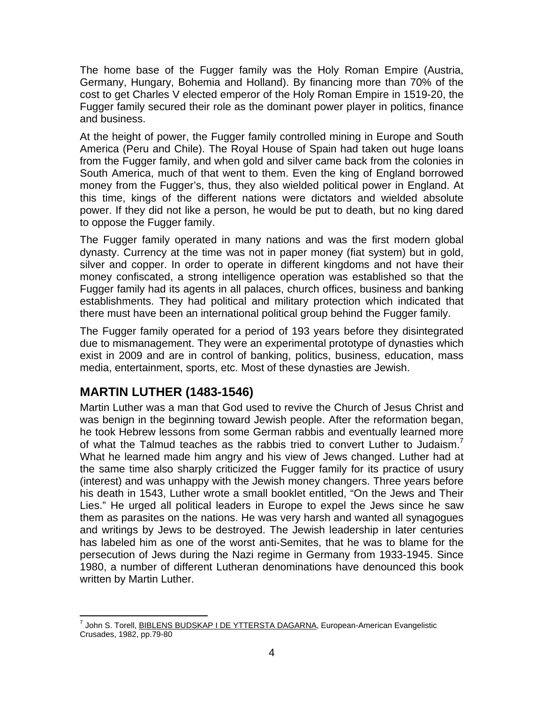The home base of the Fugger family was the Holy Roman Empire (Austria, Germany, Hungary, Bohemia and Holland). By financing more than 70% of the cost to get Charles V elected emperor of the Holy Roman Empire in 1519-20, the Fugger family secured their role as the dominant power player in politics, finance and business.

At the height of power, the Fugger family controlled mining in Europe and South America (Peru and Chile). The Royal House of Spain had taken out huge loans from the Fugger family, and when gold and silver came back from the colonies in South America, much of that went to them. Even the king of England borrowed money from the Fugger's, thus, they also wielded political power in England. At this time, kings of the different nations were dictators and wielded absolute power. If they did not like a person, he would be put to death, but no king dared to oppose the Fugger family.

The Fugger family operated in many nations and was the first modern global dynasty. Currency at the time was not in paper money (fiat system) but in gold, silver and copper. In order to operate in different kingdoms and not have their money confiscated, a strong intelligence operation was established so that the Fugger family had its agents in all palaces, church offices, business and banking establishments. They had political and military protection which indicated that there must have been an international political group behind the Fugger family.

The Fugger family operated for a period of 193 years before they disintegrated due to mismanagement. They were an experimental prototype of dynasties which exist in 2009 and are in control of banking, politics, business, education, mass media, entertainment, sports, etc. Most of these dynasties are Jewish.

# **MARTIN LUTHER (1483-1546)**

Martin Luther was a man that God used to revive the Church of Jesus Christ and was benign in the beginning toward Jewish people. After the reformation began, he took Hebrew lessons from some German rabbis and eventually learned more of what the Talmud teaches as the rabbis tried to convert Luther to Judaism.<sup>7</sup> What he learned made him angry and his view of Jews changed. Luther had at the same time also sharply criticized the Fugger family for its practice of usury (interest) and was unhappy with the Jewish money changers. Three years before his death in 1543, Luther wrote a small booklet entitled, "On the Jews and Their Lies." He urged all political leaders in Europe to expel the Jews since he saw them as parasites on the nations. He was very harsh and wanted all synagogues and writings by Jews to be destroyed. The Jewish leadership in later centuries has labeled him as one of the worst anti-Semites, that he was to blame for the persecution of Jews during the Nazi regime in Germany from 1933-1945. Since 1980, a number of different Lutheran denominations have denounced this book written by Martin Luther.

 7 John S. Torell, BIBLENS BUDSKAP I DE YTTERSTA DAGARNA, European-American Evangelistic Crusades, 1982, pp.79-80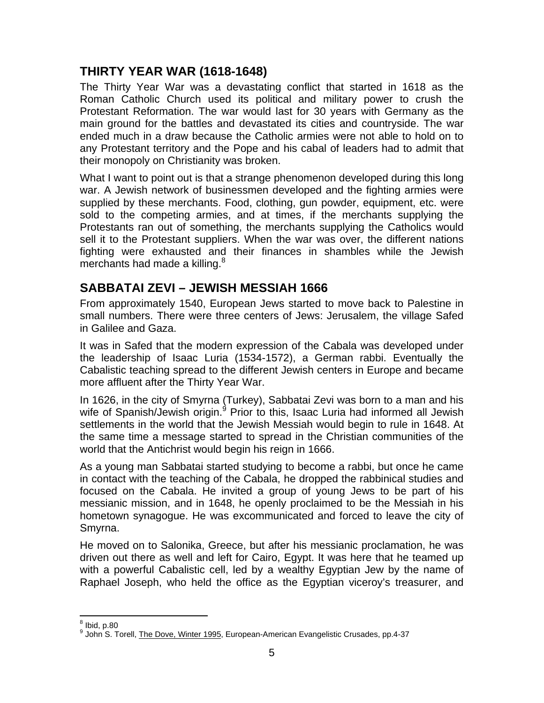# **THIRTY YEAR WAR (1618-1648)**

The Thirty Year War was a devastating conflict that started in 1618 as the Roman Catholic Church used its political and military power to crush the Protestant Reformation. The war would last for 30 years with Germany as the main ground for the battles and devastated its cities and countryside. The war ended much in a draw because the Catholic armies were not able to hold on to any Protestant territory and the Pope and his cabal of leaders had to admit that their monopoly on Christianity was broken.

What I want to point out is that a strange phenomenon developed during this long war. A Jewish network of businessmen developed and the fighting armies were supplied by these merchants. Food, clothing, gun powder, equipment, etc. were sold to the competing armies, and at times, if the merchants supplying the Protestants ran out of something, the merchants supplying the Catholics would sell it to the Protestant suppliers. When the war was over, the different nations fighting were exhausted and their finances in shambles while the Jewish merchants had made a killing. $8$ 

# **SABBATAI ZEVI – JEWISH MESSIAH 1666**

From approximately 1540, European Jews started to move back to Palestine in small numbers. There were three centers of Jews: Jerusalem, the village Safed in Galilee and Gaza.

It was in Safed that the modern expression of the Cabala was developed under the leadership of Isaac Luria (1534-1572), a German rabbi. Eventually the Cabalistic teaching spread to the different Jewish centers in Europe and became more affluent after the Thirty Year War.

In 1626, in the city of Smyrna (Turkey), Sabbatai Zevi was born to a man and his wife of Spanish/Jewish origin.<sup>9</sup> Prior to this, Isaac Luria had informed all Jewish settlements in the world that the Jewish Messiah would begin to rule in 1648. At the same time a message started to spread in the Christian communities of the world that the Antichrist would begin his reign in 1666.

As a young man Sabbatai started studying to become a rabbi, but once he came in contact with the teaching of the Cabala, he dropped the rabbinical studies and focused on the Cabala. He invited a group of young Jews to be part of his messianic mission, and in 1648, he openly proclaimed to be the Messiah in his hometown synagogue. He was excommunicated and forced to leave the city of Smyrna.

He moved on to Salonika, Greece, but after his messianic proclamation, he was driven out there as well and left for Cairo, Egypt. It was here that he teamed up with a powerful Cabalistic cell, led by a wealthy Egyptian Jew by the name of Raphael Joseph, who held the office as the Egyptian viceroy's treasurer, and

 8 Ibid, p.80

<sup>&</sup>lt;sup>9</sup> John S. Torell, The Dove, Winter 1995, European-American Evangelistic Crusades, pp.4-37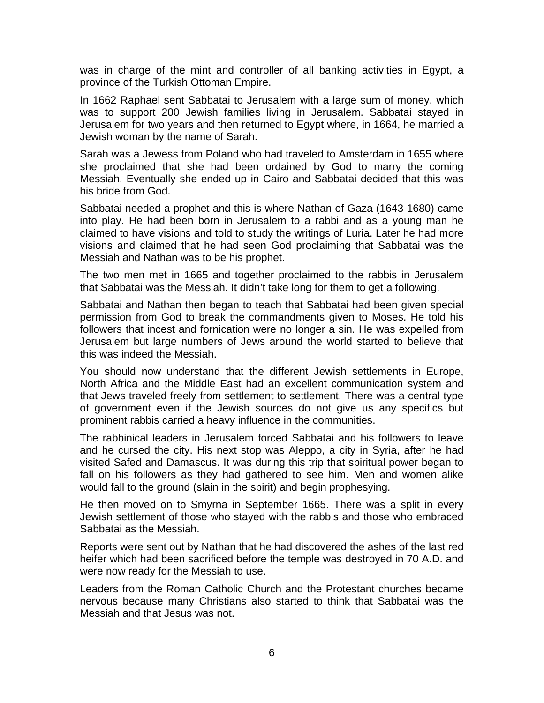was in charge of the mint and controller of all banking activities in Egypt, a province of the Turkish Ottoman Empire.

In 1662 Raphael sent Sabbatai to Jerusalem with a large sum of money, which was to support 200 Jewish families living in Jerusalem. Sabbatai stayed in Jerusalem for two years and then returned to Egypt where, in 1664, he married a Jewish woman by the name of Sarah.

Sarah was a Jewess from Poland who had traveled to Amsterdam in 1655 where she proclaimed that she had been ordained by God to marry the coming Messiah. Eventually she ended up in Cairo and Sabbatai decided that this was his bride from God.

Sabbatai needed a prophet and this is where Nathan of Gaza (1643-1680) came into play. He had been born in Jerusalem to a rabbi and as a young man he claimed to have visions and told to study the writings of Luria. Later he had more visions and claimed that he had seen God proclaiming that Sabbatai was the Messiah and Nathan was to be his prophet.

The two men met in 1665 and together proclaimed to the rabbis in Jerusalem that Sabbatai was the Messiah. It didn't take long for them to get a following.

Sabbatai and Nathan then began to teach that Sabbatai had been given special permission from God to break the commandments given to Moses. He told his followers that incest and fornication were no longer a sin. He was expelled from Jerusalem but large numbers of Jews around the world started to believe that this was indeed the Messiah.

You should now understand that the different Jewish settlements in Europe, North Africa and the Middle East had an excellent communication system and that Jews traveled freely from settlement to settlement. There was a central type of government even if the Jewish sources do not give us any specifics but prominent rabbis carried a heavy influence in the communities.

The rabbinical leaders in Jerusalem forced Sabbatai and his followers to leave and he cursed the city. His next stop was Aleppo, a city in Syria, after he had visited Safed and Damascus. It was during this trip that spiritual power began to fall on his followers as they had gathered to see him. Men and women alike would fall to the ground (slain in the spirit) and begin prophesying.

He then moved on to Smyrna in September 1665. There was a split in every Jewish settlement of those who stayed with the rabbis and those who embraced Sabbatai as the Messiah.

Reports were sent out by Nathan that he had discovered the ashes of the last red heifer which had been sacrificed before the temple was destroyed in 70 A.D. and were now ready for the Messiah to use.

Leaders from the Roman Catholic Church and the Protestant churches became nervous because many Christians also started to think that Sabbatai was the Messiah and that Jesus was not.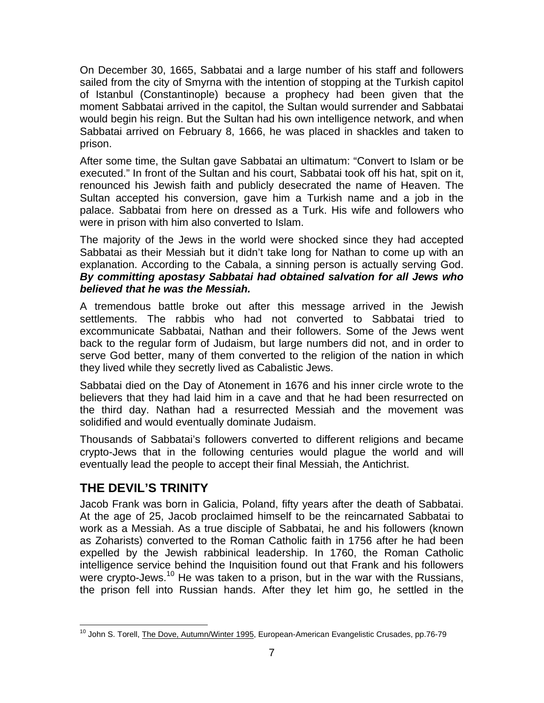On December 30, 1665, Sabbatai and a large number of his staff and followers sailed from the city of Smyrna with the intention of stopping at the Turkish capitol of Istanbul (Constantinople) because a prophecy had been given that the moment Sabbatai arrived in the capitol, the Sultan would surrender and Sabbatai would begin his reign. But the Sultan had his own intelligence network, and when Sabbatai arrived on February 8, 1666, he was placed in shackles and taken to prison.

After some time, the Sultan gave Sabbatai an ultimatum: "Convert to Islam or be executed." In front of the Sultan and his court, Sabbatai took off his hat, spit on it, renounced his Jewish faith and publicly desecrated the name of Heaven. The Sultan accepted his conversion, gave him a Turkish name and a job in the palace. Sabbatai from here on dressed as a Turk. His wife and followers who were in prison with him also converted to Islam.

The majority of the Jews in the world were shocked since they had accepted Sabbatai as their Messiah but it didn't take long for Nathan to come up with an explanation. According to the Cabala, a sinning person is actually serving God. *By committing apostasy Sabbatai had obtained salvation for all Jews who believed that he was the Messiah.*

A tremendous battle broke out after this message arrived in the Jewish settlements. The rabbis who had not converted to Sabbatai tried to excommunicate Sabbatai, Nathan and their followers. Some of the Jews went back to the regular form of Judaism, but large numbers did not, and in order to serve God better, many of them converted to the religion of the nation in which they lived while they secretly lived as Cabalistic Jews.

Sabbatai died on the Day of Atonement in 1676 and his inner circle wrote to the believers that they had laid him in a cave and that he had been resurrected on the third day. Nathan had a resurrected Messiah and the movement was solidified and would eventually dominate Judaism.

Thousands of Sabbatai's followers converted to different religions and became crypto-Jews that in the following centuries would plague the world and will eventually lead the people to accept their final Messiah, the Antichrist.

# **THE DEVIL'S TRINITY**

Jacob Frank was born in Galicia, Poland, fifty years after the death of Sabbatai. At the age of 25, Jacob proclaimed himself to be the reincarnated Sabbatai to work as a Messiah. As a true disciple of Sabbatai, he and his followers (known as Zoharists) converted to the Roman Catholic faith in 1756 after he had been expelled by the Jewish rabbinical leadership. In 1760, the Roman Catholic intelligence service behind the Inquisition found out that Frank and his followers were crypto-Jews.<sup>10</sup> He was taken to a prison, but in the war with the Russians, the prison fell into Russian hands. After they let him go, he settled in the

 $\overline{a}$ <sup>10</sup> John S. Torell, **The Dove, Autumn/Winter 1995, European-American Evangelistic Crusades, pp.76-79**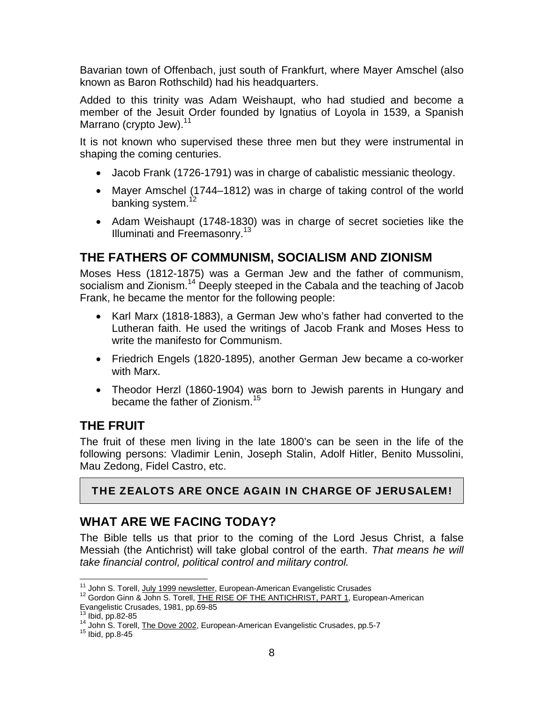Bavarian town of Offenbach, just south of Frankfurt, where Mayer Amschel (also known as Baron Rothschild) had his headquarters.

Added to this trinity was Adam Weishaupt, who had studied and become a member of the Jesuit Order founded by Ignatius of Loyola in 1539, a Spanish Marrano (crypto Jew).<sup>11</sup>

It is not known who supervised these three men but they were instrumental in shaping the coming centuries.

- Jacob Frank (1726-1791) was in charge of cabalistic messianic theology.
- Mayer Amschel (1744–1812) was in charge of taking control of the world banking system.<sup>12</sup>
- Adam Weishaupt (1748-1830) was in charge of secret societies like the Illuminati and Freemasonry.<sup>13</sup>

# **THE FATHERS OF COMMUNISM, SOCIALISM AND ZIONISM**

Moses Hess (1812-1875) was a German Jew and the father of communism, socialism and Zionism.<sup>14</sup> Deeply steeped in the Cabala and the teaching of Jacob Frank, he became the mentor for the following people:

- Karl Marx (1818-1883), a German Jew who's father had converted to the Lutheran faith. He used the writings of Jacob Frank and Moses Hess to write the manifesto for Communism.
- Friedrich Engels (1820-1895), another German Jew became a co-worker with Marx.
- Theodor Herzl (1860-1904) was born to Jewish parents in Hungary and became the father of Zionism.<sup>15</sup>

## **THE FRUIT**

The fruit of these men living in the late 1800's can be seen in the life of the following persons: Vladimir Lenin, Joseph Stalin, Adolf Hitler, Benito Mussolini, Mau Zedong, Fidel Castro, etc.

## THE ZEALOTS ARE ONCE AGAIN IN CHARGE OF JERUSALEM!

# **WHAT ARE WE FACING TODAY?**

The Bible tells us that prior to the coming of the Lord Jesus Christ, a false Messiah (the Antichrist) will take global control of the earth. *That means he will take financial control, political control and military control.* 

<sup>&</sup>lt;sup>11</sup> John S. Torell, July 1999 newsletter, European-American Evangelistic Crusades

<sup>&</sup>lt;sup>12</sup> Gordon Ginn & John S. Torell, THE RISE OF THE ANTICHRIST, PART 1, European-American Evangelistic Crusades, 1981, pp.69-85<br><sup>13</sup> Ibid, pp.82-85

<sup>&</sup>lt;sup>14</sup> John S. Torell, **The Dove 2002**, European-American Evangelistic Crusades, pp.5-7 <sup>15</sup> Ibid, pp.8-45